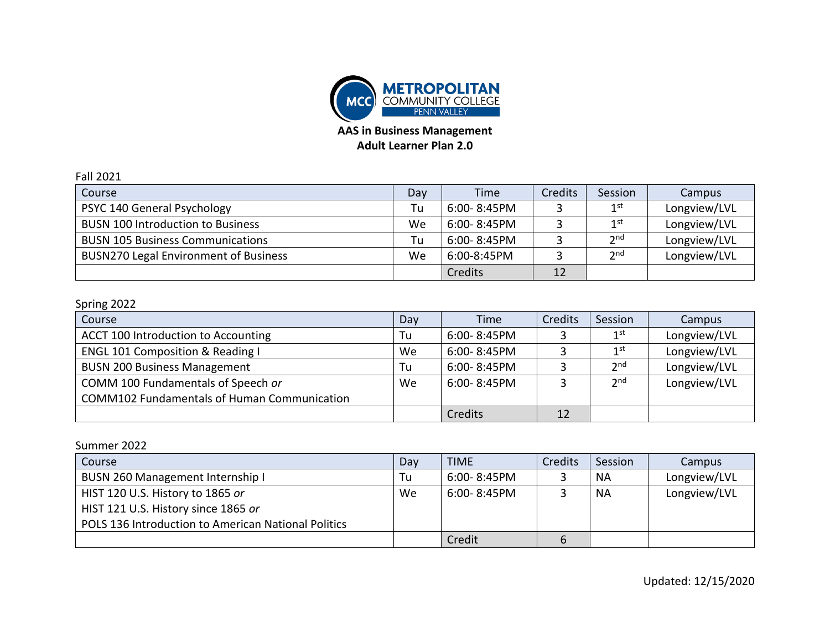

**AAS in Business Management**

## **Adult Learner Plan 2.0**

| <b>Fall 2021</b>                             |     |             |                |                 |              |
|----------------------------------------------|-----|-------------|----------------|-----------------|--------------|
| Course                                       | Day | Time        | <b>Credits</b> | Session         | Campus       |
| PSYC 140 General Psychology                  | Tu  | 6:00-8:45PM |                | 1 <sup>st</sup> | Longview/LVL |
| <b>BUSN 100 Introduction to Business</b>     | We  | 6:00-8:45PM |                | 1 <sup>st</sup> | Longview/LVL |
| <b>BUSN 105 Business Communications</b>      | Tu  | 6:00-8:45PM |                | 2 <sub>nd</sub> | Longview/LVL |
| <b>BUSN270 Legal Environment of Business</b> | We  | 6:00-8:45PM |                | 2 <sub>nd</sub> | Longview/LVL |
|                                              |     | Credits     | 12             |                 |              |

## Spring 2022

| Course                                             | Day | Time             | Credits | Session         | Campus       |
|----------------------------------------------------|-----|------------------|---------|-----------------|--------------|
| ACCT 100 Introduction to Accounting                | Tu  | 6:00-8:45PM      |         | 1st             | Longview/LVL |
| <b>ENGL 101 Composition &amp; Reading I</b>        | We  | 6:00-8:45PM      |         | 1 <sup>st</sup> | Longview/LVL |
| <b>BUSN 200 Business Management</b>                | Tu  | 6:00-8:45PM      |         | 2 <sup>nd</sup> | Longview/LVL |
| COMM 100 Fundamentals of Speech or                 | We  | $6:00 - 8:45$ PM |         | 2 <sup>nd</sup> | Longview/LVL |
| <b>COMM102 Fundamentals of Human Communication</b> |     |                  |         |                 |              |
|                                                    |     | Credits          | 12      |                 |              |

## Summer 2022

| Course                                              | Day | <b>TIME</b> | Credits | Session   | Campus       |
|-----------------------------------------------------|-----|-------------|---------|-----------|--------------|
| BUSN 260 Management Internship I                    | Tu  | 6:00-8:45PM |         | NA        | Longview/LVL |
| HIST 120 U.S. History to 1865 or                    | We  | 6:00-8:45PM |         | <b>NA</b> | Longview/LVL |
| HIST 121 U.S. History since 1865 or                 |     |             |         |           |              |
| POLS 136 Introduction to American National Politics |     |             |         |           |              |
|                                                     |     | Credit      | 6       |           |              |